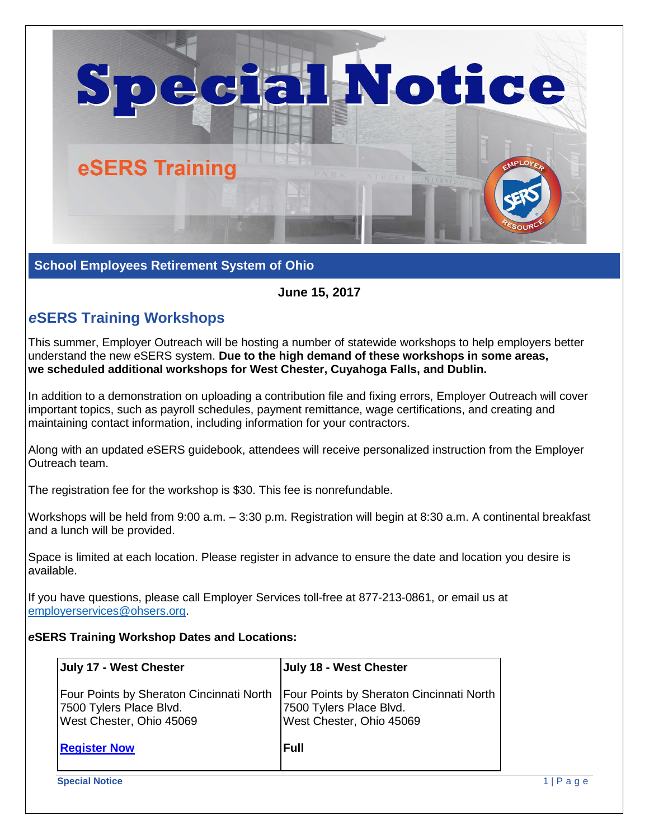

**School Employees Retirement System of Ohio**

**June 15, 2017**

## *e***SERS Training Workshops**

This summer, Employer Outreach will be hosting a number of statewide workshops to help employers better understand the new eSERS system. **Due to the high demand of these workshops in some areas, we scheduled additional workshops for West Chester, Cuyahoga Falls, and Dublin.**

In addition to a demonstration on uploading a contribution file and fixing errors, Employer Outreach will cover important topics, such as payroll schedules, payment remittance, wage certifications, and creating and maintaining contact information, including information for your contractors.

Along with an updated *e*SERS guidebook, attendees will receive personalized instruction from the Employer Outreach team.

The registration fee for the workshop is \$30. This fee is nonrefundable.

Workshops will be held from 9:00 a.m. – 3:30 p.m. Registration will begin at 8:30 a.m. A continental breakfast and a lunch will be provided.

Space is limited at each location. Please register in advance to ensure the date and location you desire is available.

If you have questions, please call Employer Services toll-free at 877-213-0861, or email us at [employerservices@ohsers.org.](mailto:employerservices@ohsers.org)

## *e***SERS Training Workshop Dates and Locations:**

| July 17 - West Chester                                                                          | July 18 - West Chester                                                                                 |
|-------------------------------------------------------------------------------------------------|--------------------------------------------------------------------------------------------------------|
| Four Points by Sheraton Cincinnati North<br>7500 Tylers Place Blvd.<br>West Chester, Ohio 45069 | <b>Four Points by Sheraton Cincinnati North</b><br>7500 Tylers Place Blvd.<br>West Chester, Ohio 45069 |
| <b>Register Now</b>                                                                             | <b>Full</b>                                                                                            |
| <b>Special Notice</b>                                                                           |                                                                                                        |